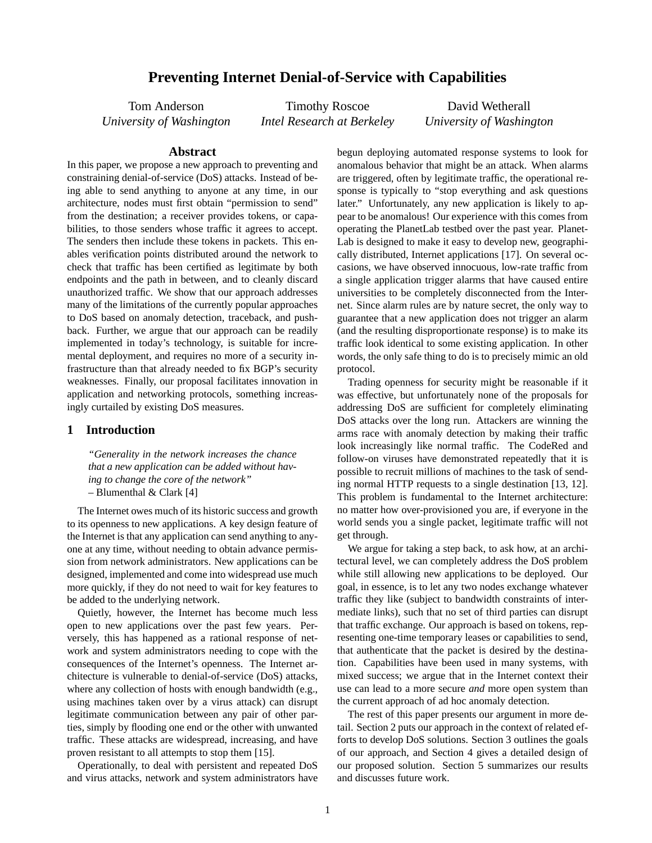# **Preventing Internet Denial-of-Service with Capabilities**

Tom Anderson *University of Washington*

Timothy Roscoe *Intel Research at Berkeley*

David Wetherall *University of Washington*

### **Abstract**

In this paper, we propose a new approach to preventing and constraining denial-of-service (DoS) attacks. Instead of being able to send anything to anyone at any time, in our architecture, nodes must first obtain "permission to send" from the destination; a receiver provides tokens, or capabilities, to those senders whose traffic it agrees to accept. The senders then include these tokens in packets. This enables verification points distributed around the network to check that traffic has been certified as legitimate by both endpoints and the path in between, and to cleanly discard unauthorized traffic. We show that our approach addresses many of the limitations of the currently popular approaches to DoS based on anomaly detection, traceback, and pushback. Further, we argue that our approach can be readily implemented in today's technology, is suitable for incremental deployment, and requires no more of a security infrastructure than that already needed to fix BGP's security weaknesses. Finally, our proposal facilitates innovation in application and networking protocols, something increasingly curtailed by existing DoS measures.

# **1 Introduction**

*"Generality in the network increases the chance that a new application can be added without having to change the core of the network"* – Blumenthal  $& Clark [4]$ 

The Internet owes much of its historic success and growth to its openness to new applications. A key design feature of the Internet is that any application can send anything to anyone at any time, without needing to obtain advance permission from network administrators. New applications can be designed, implemented and come into widespread use much more quickly, if they do not need to wait for key features to be added to the underlying network.

Quietly, however, the Internet has become much less open to new applications over the past few years. Perversely, this has happened as a rational response of network and system administrators needing to cope with the consequences of the Internet's openness. The Internet architecture is vulnerable to denial-of-service (DoS) attacks, where any collection of hosts with enough bandwidth (e.g., using machines taken over by a virus attack) can disrupt legitimate communication between any pair of other parties, simply by flooding one end or the other with unwanted traffic. These attacks are widespread, increasing, and have proven resistant to all attempts to stop them [15].

Operationally, to deal with persistent and repeated DoS and virus attacks, network and system administrators have

begun deploying automated response systems to look for anomalous behavior that might be an attack. When alarms are triggered, often by legitimate traffic, the operational response is typically to "stop everything and ask questions later." Unfortunately, any new application is likely to appear to be anomalous! Our experience with this comes from operating the PlanetLab testbed over the past year. Planet-Lab is designed to make it easy to develop new, geographically distributed, Internet applications [17]. On several occasions, we have observed innocuous, low-rate traffic from a single application trigger alarms that have caused entire universities to be completely disconnected from the Internet. Since alarm rules are by nature secret, the only way to guarantee that a new application does not trigger an alarm (and the resulting disproportionate response) is to make its traffic look identical to some existing application. In other words, the only safe thing to do is to precisely mimic an old protocol.

Trading openness for security might be reasonable if it was effective, but unfortunately none of the proposals for addressing DoS are sufficient for completely eliminating DoS attacks over the long run. Attackers are winning the arms race with anomaly detection by making their traffic look increasingly like normal traffic. The CodeRed and follow-on viruses have demonstrated repeatedly that it is possible to recruit millions of machines to the task of sending normal HTTP requests to a single destination [13, 12]. This problem is fundamental to the Internet architecture: no matter how over-provisioned you are, if everyone in the world sends you a single packet, legitimate traffic will not get through.

We argue for taking a step back, to ask how, at an architectural level, we can completely address the DoS problem while still allowing new applications to be deployed. Our goal, in essence, is to let any two nodes exchange whatever traffic they like (subject to bandwidth constraints of intermediate links), such that no set of third parties can disrupt that traffic exchange. Our approach is based on tokens, representing one-time temporary leases or capabilities to send, that authenticate that the packet is desired by the destination. Capabilities have been used in many systems, with mixed success; we argue that in the Internet context their use can lead to a more secure *and* more open system than the current approach of ad hoc anomaly detection.

The rest of this paper presents our argument in more detail. Section 2 puts our approach in the context of related efforts to develop DoS solutions. Section 3 outlines the goals of our approach, and Section 4 gives a detailed design of our proposed solution. Section 5 summarizes our results and discusses future work.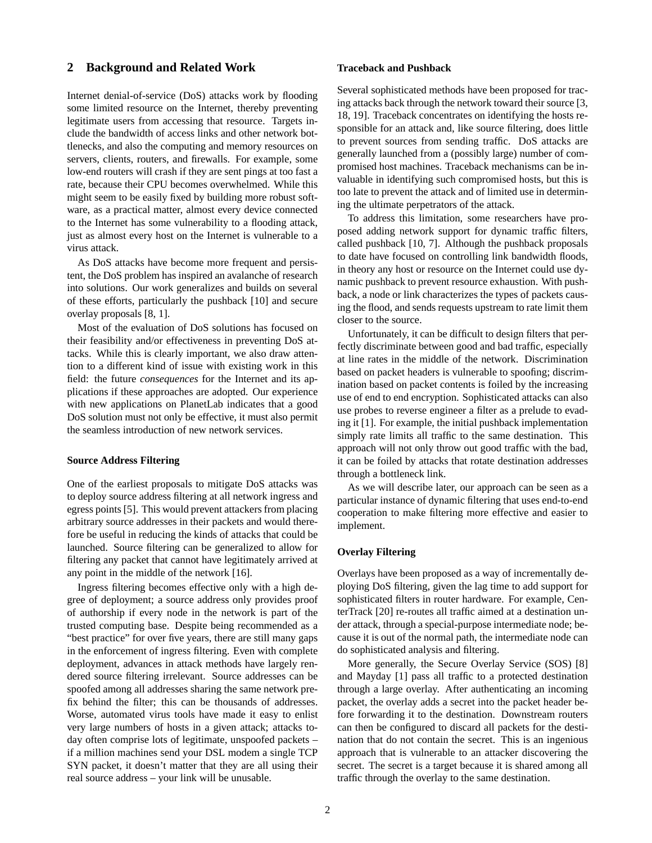# **2 Background and Related Work**

Internet denial-of-service (DoS) attacks work by flooding some limited resource on the Internet, thereby preventing legitimate users from accessing that resource. Targets include the bandwidth of access links and other network bottlenecks, and also the computing and memory resources on servers, clients, routers, and firewalls. For example, some low-end routers will crash if they are sent pings at too fast a rate, because their CPU becomes overwhelmed. While this might seem to be easily fixed by building more robust software, as a practical matter, almost every device connected to the Internet has some vulnerability to a flooding attack, just as almost every host on the Internet is vulnerable to a virus attack.

As DoS attacks have become more frequent and persistent, the DoS problem has inspired an avalanche of research into solutions. Our work generalizes and builds on several of these efforts, particularly the pushback [10] and secure overlay proposals [8, 1].

Most of the evaluation of DoS solutions has focused on their feasibility and/or effectiveness in preventing DoS attacks. While this is clearly important, we also draw attention to a different kind of issue with existing work in this field: the future *consequences* for the Internet and its applications if these approaches are adopted. Our experience with new applications on PlanetLab indicates that a good DoS solution must not only be effective, it must also permit the seamless introduction of new network services.

### **Source Address Filtering**

One of the earliest proposals to mitigate DoS attacks was to deploy source address filtering at all network ingress and egress points [5]. This would prevent attackers from placing arbitrary source addresses in their packets and would therefore be useful in reducing the kinds of attacks that could be launched. Source filtering can be generalized to allow for filtering any packet that cannot have legitimately arrived at any point in the middle of the network [16].

Ingress filtering becomes effective only with a high degree of deployment; a source address only provides proof of authorship if every node in the network is part of the trusted computing base. Despite being recommended as a "best practice" for over five years, there are still many gaps in the enforcement of ingress filtering. Even with complete deployment, advances in attack methods have largely rendered source filtering irrelevant. Source addresses can be spoofed among all addresses sharing the same network prefix behind the filter; this can be thousands of addresses. Worse, automated virus tools have made it easy to enlist very large numbers of hosts in a given attack; attacks today often comprise lots of legitimate, unspoofed packets – if a million machines send your DSL modem a single TCP SYN packet, it doesn't matter that they are all using their real source address – your link will be unusable.

### **Traceback and Pushback**

Several sophisticated methods have been proposed for tracing attacks back through the network toward their source [3, 18, 19]. Traceback concentrates on identifying the hosts responsible for an attack and, like source filtering, does little to prevent sources from sending traffic. DoS attacks are generally launched from a (possibly large) number of compromised host machines. Traceback mechanisms can be invaluable in identifying such compromised hosts, but this is too late to prevent the attack and of limited use in determining the ultimate perpetrators of the attack.

To address this limitation, some researchers have proposed adding network support for dynamic traffic filters, called pushback [10, 7]. Although the pushback proposals to date have focused on controlling link bandwidth floods, in theory any host or resource on the Internet could use dynamic pushback to prevent resource exhaustion. With pushback, a node or link characterizes the types of packets causing the flood, and sends requests upstream to rate limit them closer to the source.

Unfortunately, it can be difficult to design filters that perfectly discriminate between good and bad traffic, especially at line rates in the middle of the network. Discrimination based on packet headers is vulnerable to spoofing; discrimination based on packet contents is foiled by the increasing use of end to end encryption. Sophisticated attacks can also use probes to reverse engineer a filter as a prelude to evading it [1]. For example, the initial pushback implementation simply rate limits all traffic to the same destination. This approach will not only throw out good traffic with the bad, it can be foiled by attacks that rotate destination addresses through a bottleneck link.

As we will describe later, our approach can be seen as a particular instance of dynamic filtering that uses end-to-end cooperation to make filtering more effective and easier to implement.

#### **Overlay Filtering**

Overlays have been proposed as a way of incrementally deploying DoS filtering, given the lag time to add support for sophisticated filters in router hardware. For example, CenterTrack [20] re-routes all traffic aimed at a destination under attack, through a special-purpose intermediate node; because it is out of the normal path, the intermediate node can do sophisticated analysis and filtering.

More generally, the Secure Overlay Service (SOS) [8] and Mayday [1] pass all traffic to a protected destination through a large overlay. After authenticating an incoming packet, the overlay adds a secret into the packet header before forwarding it to the destination. Downstream routers can then be configured to discard all packets for the destination that do not contain the secret. This is an ingenious approach that is vulnerable to an attacker discovering the secret. The secret is a target because it is shared among all traffic through the overlay to the same destination.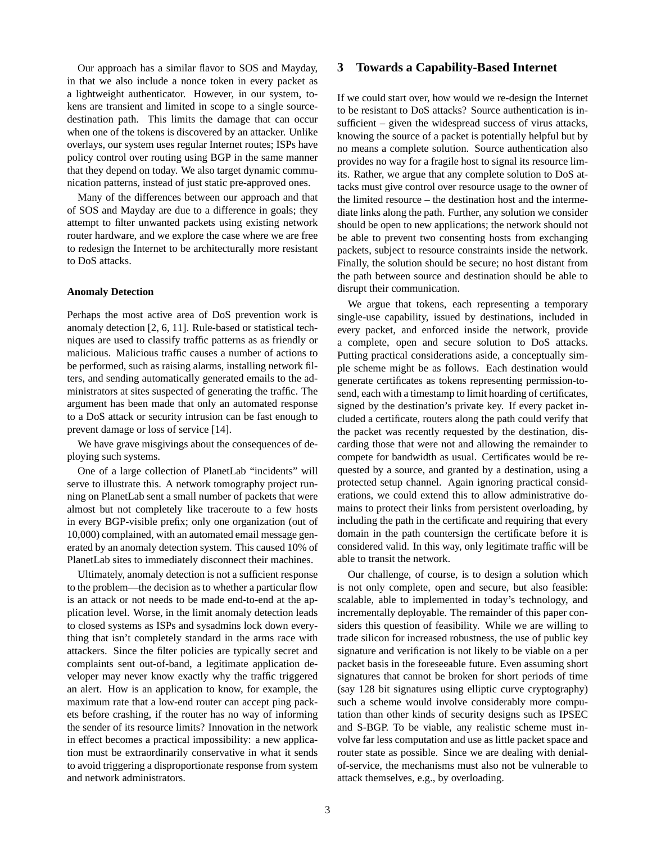Our approach has a similar flavor to SOS and Mayday, in that we also include a nonce token in every packet as a lightweight authenticator. However, in our system, tokens are transient and limited in scope to a single sourcedestination path. This limits the damage that can occur when one of the tokens is discovered by an attacker. Unlike overlays, our system uses regular Internet routes; ISPs have policy control over routing using BGP in the same manner that they depend on today. We also target dynamic communication patterns, instead of just static pre-approved ones.

Many of the differences between our approach and that of SOS and Mayday are due to a difference in goals; they attempt to filter unwanted packets using existing network router hardware, and we explore the case where we are free to redesign the Internet to be architecturally more resistant to DoS attacks.

### **Anomaly Detection**

Perhaps the most active area of DoS prevention work is anomaly detection [2, 6, 11]. Rule-based or statistical techniques are used to classify traffic patterns as as friendly or malicious. Malicious traffic causes a number of actions to be performed, such as raising alarms, installing network filters, and sending automatically generated emails to the administrators at sites suspected of generating the traffic. The argument has been made that only an automated response to a DoS attack or security intrusion can be fast enough to prevent damage or loss of service [14].

We have grave misgivings about the consequences of deploying such systems.

One of a large collection of PlanetLab "incidents" will serve to illustrate this. A network tomography project running on PlanetLab sent a small number of packets that were almost but not completely like traceroute to a few hosts in every BGP-visible prefix; only one organization (out of 10,000) complained, with an automated email message generated by an anomaly detection system. This caused 10% of PlanetLab sites to immediately disconnect their machines.

Ultimately, anomaly detection is not a sufficient response to the problem—the decision as to whether a particular flow is an attack or not needs to be made end-to-end at the application level. Worse, in the limit anomaly detection leads to closed systems as ISPs and sysadmins lock down everything that isn't completely standard in the arms race with attackers. Since the filter policies are typically secret and complaints sent out-of-band, a legitimate application developer may never know exactly why the traffic triggered an alert. How is an application to know, for example, the maximum rate that a low-end router can accept ping packets before crashing, if the router has no way of informing the sender of its resource limits? Innovation in the network in effect becomes a practical impossibility: a new application must be extraordinarily conservative in what it sends to avoid triggering a disproportionate response from system and network administrators.

# **3 Towards a Capability-Based Internet**

If we could start over, how would we re-design the Internet to be resistant to DoS attacks? Source authentication is insufficient – given the widespread success of virus attacks, knowing the source of a packet is potentially helpful but by no means a complete solution. Source authentication also provides no way for a fragile host to signal its resource limits. Rather, we argue that any complete solution to DoS attacks must give control over resource usage to the owner of the limited resource – the destination host and the intermediate links along the path. Further, any solution we consider should be open to new applications; the network should not be able to prevent two consenting hosts from exchanging packets, subject to resource constraints inside the network. Finally, the solution should be secure; no host distant from the path between source and destination should be able to disrupt their communication.

We argue that tokens, each representing a temporary single-use capability, issued by destinations, included in every packet, and enforced inside the network, provide a complete, open and secure solution to DoS attacks. Putting practical considerations aside, a conceptually simple scheme might be as follows. Each destination would generate certificates as tokens representing permission-tosend, each with a timestamp to limit hoarding of certificates, signed by the destination's private key. If every packet included a certificate, routers along the path could verify that the packet was recently requested by the destination, discarding those that were not and allowing the remainder to compete for bandwidth as usual. Certificates would be requested by a source, and granted by a destination, using a protected setup channel. Again ignoring practical considerations, we could extend this to allow administrative domains to protect their links from persistent overloading, by including the path in the certificate and requiring that every domain in the path countersign the certificate before it is considered valid. In this way, only legitimate traffic will be able to transit the network.

Our challenge, of course, is to design a solution which is not only complete, open and secure, but also feasible: scalable, able to implemented in today's technology, and incrementally deployable. The remainder of this paper considers this question of feasibility. While we are willing to trade silicon for increased robustness, the use of public key signature and verification is not likely to be viable on a per packet basis in the foreseeable future. Even assuming short signatures that cannot be broken for short periods of time (say 128 bit signatures using elliptic curve cryptography) such a scheme would involve considerably more computation than other kinds of security designs such as IPSEC and S-BGP. To be viable, any realistic scheme must involve far less computation and use as little packet space and router state as possible. Since we are dealing with denialof-service, the mechanisms must also not be vulnerable to attack themselves, e.g., by overloading.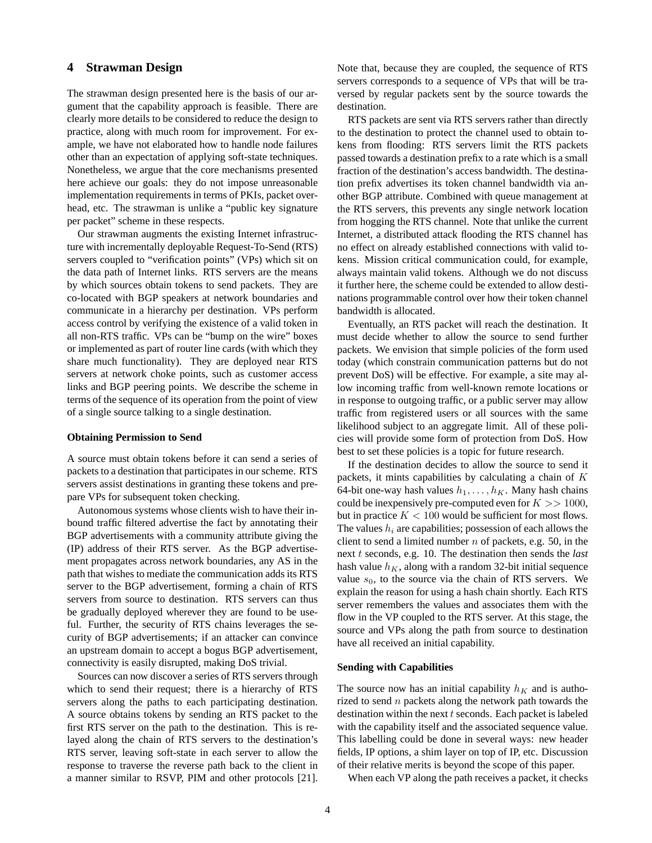# **4 Strawman Design**

The strawman design presented here is the basis of our argument that the capability approach is feasible. There are clearly more details to be considered to reduce the design to practice, along with much room for improvement. For example, we have not elaborated how to handle node failures other than an expectation of applying soft-state techniques. Nonetheless, we argue that the core mechanisms presented here achieve our goals: they do not impose unreasonable implementation requirements in terms of PKIs, packet overhead, etc. The strawman is unlike a "public key signature per packet" scheme in these respects.

Our strawman augments the existing Internet infrastructure with incrementally deployable Request-To-Send (RTS) servers coupled to "verification points" (VPs) which sit on the data path of Internet links. RTS servers are the means by which sources obtain tokens to send packets. They are co-located with BGP speakers at network boundaries and communicate in a hierarchy per destination. VPs perform access control by verifying the existence of a valid token in all non-RTS traffic. VPs can be "bump on the wire" boxes or implemented as part of router line cards (with which they share much functionality). They are deployed near RTS servers at network choke points, such as customer access links and BGP peering points. We describe the scheme in terms of the sequence of its operation from the point of view of a single source talking to a single destination.

### **Obtaining Permission to Send**

A source must obtain tokens before it can send a series of packets to a destination that participates in our scheme. RTS servers assist destinations in granting these tokens and prepare VPs for subsequent token checking.

Autonomous systems whose clients wish to have their inbound traffic filtered advertise the fact by annotating their BGP advertisements with a community attribute giving the (IP) address of their RTS server. As the BGP advertisement propagates across network boundaries, any AS in the path that wishes to mediate the communication adds its RTS server to the BGP advertisement, forming a chain of RTS servers from source to destination. RTS servers can thus be gradually deployed wherever they are found to be useful. Further, the security of RTS chains leverages the security of BGP advertisements; if an attacker can convince an upstream domain to accept a bogus BGP advertisement, connectivity is easily disrupted, making DoS trivial.

Sources can now discover a series of RTS servers through which to send their request; there is a hierarchy of RTS servers along the paths to each participating destination. A source obtains tokens by sending an RTS packet to the first RTS server on the path to the destination. This is relayed along the chain of RTS servers to the destination's RTS server, leaving soft-state in each server to allow the response to traverse the reverse path back to the client in a manner similar to RSVP, PIM and other protocols [21]. Note that, because they are coupled, the sequence of RTS servers corresponds to a sequence of VPs that will be traversed by regular packets sent by the source towards the destination.

RTS packets are sent via RTS servers rather than directly to the destination to protect the channel used to obtain tokens from flooding: RTS servers limit the RTS packets passed towards a destination prefix to a rate which is a small fraction of the destination's access bandwidth. The destination prefix advertises its token channel bandwidth via another BGP attribute. Combined with queue management at the RTS servers, this prevents any single network location from hogging the RTS channel. Note that unlike the current Internet, a distributed attack flooding the RTS channel has no effect on already established connections with valid tokens. Mission critical communication could, for example, always maintain valid tokens. Although we do not discuss it further here, the scheme could be extended to allow destinations programmable control over how their token channel bandwidth is allocated.

Eventually, an RTS packet will reach the destination. It must decide whether to allow the source to send further packets. We envision that simple policies of the form used today (which constrain communication patterns but do not prevent DoS) will be effective. For example, a site may allow incoming traffic from well-known remote locations or in response to outgoing traffic, or a public server may allow traffic from registered users or all sources with the same likelihood subject to an aggregate limit. All of these policies will provide some form of protection from DoS. How best to set these policies is a topic for future research.

If the destination decides to allow the source to send it packets, it mints capabilities by calculating a chain of K 64-bit one-way hash values  $h_1, \ldots, h_K$ . Many hash chains could be inexpensively pre-computed even for  $K \gg 1000$ , but in practice  $K < 100$  would be sufficient for most flows. The values  $h_i$  are capabilities; possession of each allows the client to send a limited number  $n$  of packets, e.g. 50, in the next t seconds, e.g. 10. The destination then sends the *last* hash value  $h<sub>K</sub>$ , along with a random 32-bit initial sequence value  $s_0$ , to the source via the chain of RTS servers. We explain the reason for using a hash chain shortly. Each RTS server remembers the values and associates them with the flow in the VP coupled to the RTS server. At this stage, the source and VPs along the path from source to destination have all received an initial capability.

### **Sending with Capabilities**

The source now has an initial capability  $h_K$  and is authorized to send  $n$  packets along the network path towards the destination within the next  $t$  seconds. Each packet is labeled with the capability itself and the associated sequence value. This labelling could be done in several ways: new header fields, IP options, a shim layer on top of IP, etc. Discussion of their relative merits is beyond the scope of this paper.

When each VP along the path receives a packet, it checks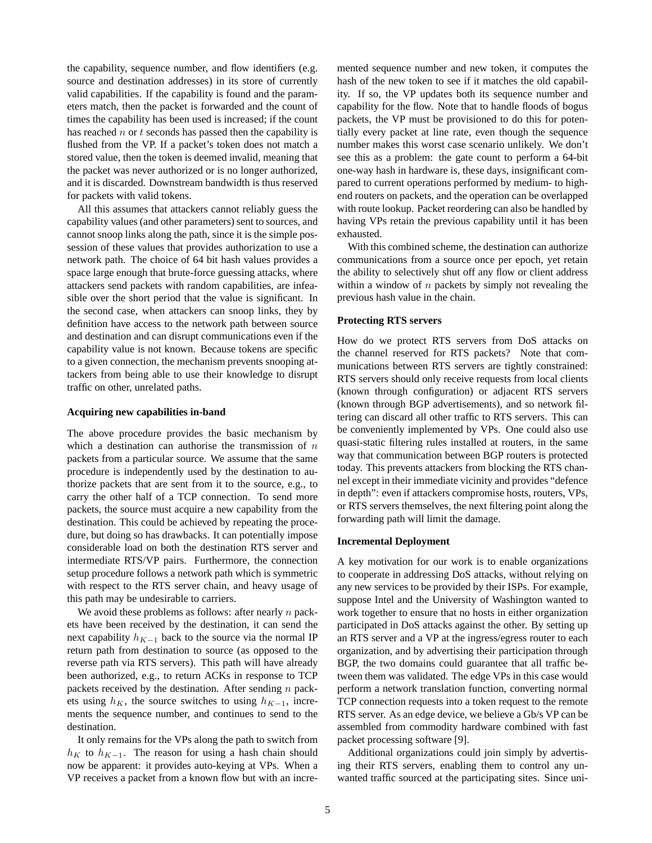the capability, sequence number, and flow identifiers (e.g. source and destination addresses) in its store of currently valid capabilities. If the capability is found and the parameters match, then the packet is forwarded and the count of times the capability has been used is increased; if the count has reached  $n$  or  $t$  seconds has passed then the capability is flushed from the VP. If a packet's token does not match a stored value, then the token is deemed invalid, meaning that the packet was never authorized or is no longer authorized, and it is discarded. Downstream bandwidth is thus reserved for packets with valid tokens.

All this assumes that attackers cannot reliably guess the capability values (and other parameters) sent to sources, and cannot snoop links along the path, since it is the simple possession of these values that provides authorization to use a network path. The choice of 64 bit hash values provides a space large enough that brute-force guessing attacks, where attackers send packets with random capabilities, are infeasible over the short period that the value is significant. In the second case, when attackers can snoop links, they by definition have access to the network path between source and destination and can disrupt communications even if the capability value is not known. Because tokens are specific to a given connection, the mechanism prevents snooping attackers from being able to use their knowledge to disrupt traffic on other, unrelated paths.

#### **Acquiring new capabilities in-band**

The above procedure provides the basic mechanism by which a destination can authorise the transmission of  $n$ packets from a particular source. We assume that the same procedure is independently used by the destination to authorize packets that are sent from it to the source, e.g., to carry the other half of a TCP connection. To send more packets, the source must acquire a new capability from the destination. This could be achieved by repeating the procedure, but doing so has drawbacks. It can potentially impose considerable load on both the destination RTS server and intermediate RTS/VP pairs. Furthermore, the connection setup procedure follows a network path which is symmetric with respect to the RTS server chain, and heavy usage of this path may be undesirable to carriers.

We avoid these problems as follows: after nearly  $n$  packets have been received by the destination, it can send the next capability  $h_{K-1}$  back to the source via the normal IP return path from destination to source (as opposed to the reverse path via RTS servers). This path will have already been authorized, e.g., to return ACKs in response to TCP packets received by the destination. After sending  $n$  packets using  $h<sub>K</sub>$ , the source switches to using  $h<sub>K−1</sub>$ , increments the sequence number, and continues to send to the destination.

It only remains for the VPs along the path to switch from  $h_K$  to  $h_{K-1}$ . The reason for using a hash chain should now be apparent: it provides auto-keying at VPs. When a VP receives a packet from a known flow but with an incremented sequence number and new token, it computes the hash of the new token to see if it matches the old capability. If so, the VP updates both its sequence number and capability for the flow. Note that to handle floods of bogus packets, the VP must be provisioned to do this for potentially every packet at line rate, even though the sequence number makes this worst case scenario unlikely. We don't see this as a problem: the gate count to perform a 64-bit one-way hash in hardware is, these days, insignificant compared to current operations performed by medium- to highend routers on packets, and the operation can be overlapped with route lookup. Packet reordering can also be handled by having VPs retain the previous capability until it has been exhausted.

With this combined scheme, the destination can authorize communications from a source once per epoch, yet retain the ability to selectively shut off any flow or client address within a window of  $n$  packets by simply not revealing the previous hash value in the chain.

### **Protecting RTS servers**

How do we protect RTS servers from DoS attacks on the channel reserved for RTS packets? Note that communications between RTS servers are tightly constrained: RTS servers should only receive requests from local clients (known through configuration) or adjacent RTS servers (known through BGP advertisements), and so network filtering can discard all other traffic to RTS servers. This can be conveniently implemented by VPs. One could also use quasi-static filtering rules installed at routers, in the same way that communication between BGP routers is protected today. This prevents attackers from blocking the RTS channel except in their immediate vicinity and provides "defence in depth": even if attackers compromise hosts, routers, VPs, or RTS servers themselves, the next filtering point along the forwarding path will limit the damage.

#### **Incremental Deployment**

A key motivation for our work is to enable organizations to cooperate in addressing DoS attacks, without relying on any new services to be provided by their ISPs. For example, suppose Intel and the University of Washington wanted to work together to ensure that no hosts in either organization participated in DoS attacks against the other. By setting up an RTS server and a VP at the ingress/egress router to each organization, and by advertising their participation through BGP, the two domains could guarantee that all traffic between them was validated. The edge VPs in this case would perform a network translation function, converting normal TCP connection requests into a token request to the remote RTS server. As an edge device, we believe a Gb/s VP can be assembled from commodity hardware combined with fast packet processing software [9].

Additional organizations could join simply by advertising their RTS servers, enabling them to control any unwanted traffic sourced at the participating sites. Since uni-